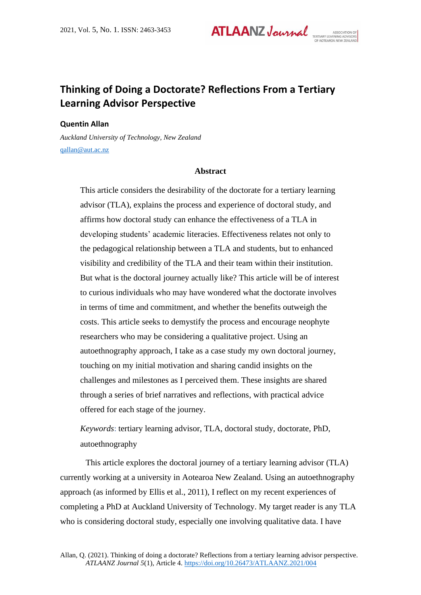**ATLAANZ Journal** 

# **Thinking of Doing a Doctorate? Reflections From a Tertiary Learning Advisor Perspective**

# **Quentin Allan**

*Auckland University of Technology, New Zealand* [qallan@aut.ac.nz](mailto:qallan@aut.ac.nz)

#### **Abstract**

This article considers the desirability of the doctorate for a tertiary learning advisor (TLA), explains the process and experience of doctoral study, and affirms how doctoral study can enhance the effectiveness of a TLA in developing students' academic literacies. Effectiveness relates not only to the pedagogical relationship between a TLA and students, but to enhanced visibility and credibility of the TLA and their team within their institution. But what is the doctoral journey actually like? This article will be of interest to curious individuals who may have wondered what the doctorate involves in terms of time and commitment, and whether the benefits outweigh the costs. This article seeks to demystify the process and encourage neophyte researchers who may be considering a qualitative project. Using an autoethnography approach, I take as a case study my own doctoral journey, touching on my initial motivation and sharing candid insights on the challenges and milestones as I perceived them. These insights are shared through a series of brief narratives and reflections, with practical advice offered for each stage of the journey.

*Keywords*: tertiary learning advisor, TLA, doctoral study, doctorate, PhD, autoethnography

This article explores the doctoral journey of a tertiary learning advisor (TLA) currently working at a university in Aotearoa New Zealand. Using an autoethnography approach (as informed by Ellis et al., 2011), I reflect on my recent experiences of completing a PhD at Auckland University of Technology. My target reader is any TLA who is considering doctoral study, especially one involving qualitative data. I have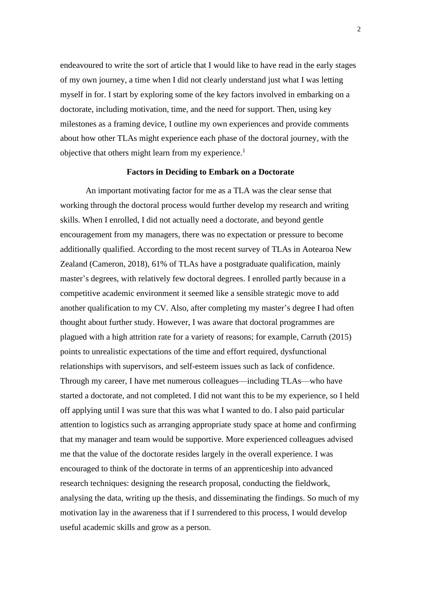endeavoured to write the sort of article that I would like to have read in the early stages of my own journey, a time when I did not clearly understand just what I was letting myself in for. I start by exploring some of the key factors involved in embarking on a doctorate, including motivation, time, and the need for support. Then, using key milestones as a framing device, I outline my own experiences and provide comments about how other TLAs might experience each phase of the doctoral journey, with the objective that others might learn from my experience.<sup>1</sup>

## **Factors in Deciding to Embark on a Doctorate**

An important motivating factor for me as a TLA was the clear sense that working through the doctoral process would further develop my research and writing skills. When I enrolled, I did not actually need a doctorate, and beyond gentle encouragement from my managers, there was no expectation or pressure to become additionally qualified. According to the most recent survey of TLAs in Aotearoa New Zealand (Cameron, 2018), 61% of TLAs have a postgraduate qualification, mainly master's degrees, with relatively few doctoral degrees. I enrolled partly because in a competitive academic environment it seemed like a sensible strategic move to add another qualification to my CV. Also, after completing my master's degree I had often thought about further study. However, I was aware that doctoral programmes are plagued with a high attrition rate for a variety of reasons; for example, Carruth (2015) points to unrealistic expectations of the time and effort required, dysfunctional relationships with supervisors, and self-esteem issues such as lack of confidence. Through my career, I have met numerous colleagues—including TLAs—who have started a doctorate, and not completed. I did not want this to be my experience, so I held off applying until I was sure that this was what I wanted to do. I also paid particular attention to logistics such as arranging appropriate study space at home and confirming that my manager and team would be supportive. More experienced colleagues advised me that the value of the doctorate resides largely in the overall experience. I was encouraged to think of the doctorate in terms of an apprenticeship into advanced research techniques: designing the research proposal, conducting the fieldwork, analysing the data, writing up the thesis, and disseminating the findings. So much of my motivation lay in the awareness that if I surrendered to this process, I would develop useful academic skills and grow as a person.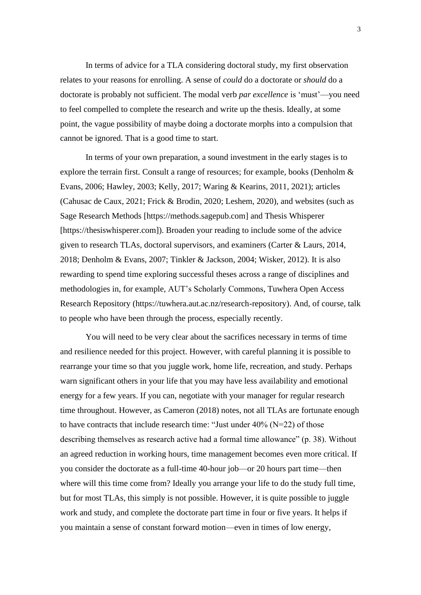In terms of advice for a TLA considering doctoral study, my first observation relates to your reasons for enrolling. A sense of *could* do a doctorate or *should* do a doctorate is probably not sufficient. The modal verb *par excellence* is 'must'—you need to feel compelled to complete the research and write up the thesis. Ideally, at some point, the vague possibility of maybe doing a doctorate morphs into a compulsion that cannot be ignored. That is a good time to start.

In terms of your own preparation, a sound investment in the early stages is to explore the terrain first. Consult a range of resources; for example, books (Denholm & Evans, 2006; Hawley, 2003; Kelly, 2017; Waring & Kearins, 2011, 2021); articles (Cahusac de Caux, 2021; Frick & Brodin, 2020; Leshem, 2020), and websites (such as Sage Research Methods [https://methods.sagepub.com] and Thesis Whisperer [https://thesiswhisperer.com]). Broaden your reading to include some of the advice given to research TLAs, doctoral supervisors, and examiners (Carter & Laurs, 2014, 2018; Denholm & Evans, 2007; Tinkler & Jackson, 2004; Wisker, 2012). It is also rewarding to spend time exploring successful theses across a range of disciplines and methodologies in, for example, AUT's Scholarly Commons, Tuwhera Open Access Research Repository (https://tuwhera.aut.ac.nz/research-repository). And, of course, talk to people who have been through the process, especially recently.

You will need to be very clear about the sacrifices necessary in terms of time and resilience needed for this project. However, with careful planning it is possible to rearrange your time so that you juggle work, home life, recreation, and study. Perhaps warn significant others in your life that you may have less availability and emotional energy for a few years. If you can, negotiate with your manager for regular research time throughout. However, as Cameron (2018) notes, not all TLAs are fortunate enough to have contracts that include research time: "Just under  $40\%$  (N=22) of those describing themselves as research active had a formal time allowance" (p. 38). Without an agreed reduction in working hours, time management becomes even more critical. If you consider the doctorate as a full-time 40-hour job—or 20 hours part time—then where will this time come from? Ideally you arrange your life to do the study full time, but for most TLAs, this simply is not possible. However, it is quite possible to juggle work and study, and complete the doctorate part time in four or five years. It helps if you maintain a sense of constant forward motion—even in times of low energy,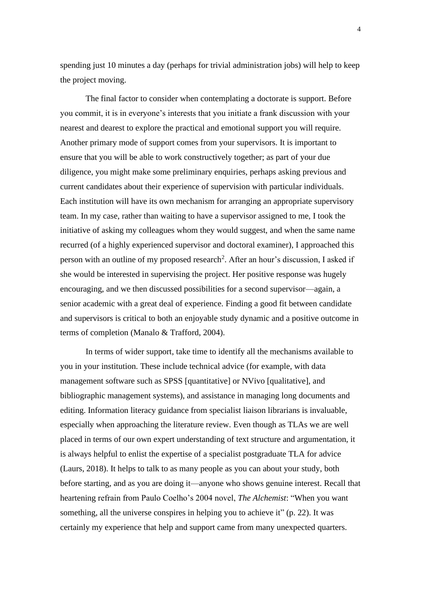spending just 10 minutes a day (perhaps for trivial administration jobs) will help to keep the project moving.

The final factor to consider when contemplating a doctorate is support. Before you commit, it is in everyone's interests that you initiate a frank discussion with your nearest and dearest to explore the practical and emotional support you will require. Another primary mode of support comes from your supervisors. It is important to ensure that you will be able to work constructively together; as part of your due diligence, you might make some preliminary enquiries, perhaps asking previous and current candidates about their experience of supervision with particular individuals. Each institution will have its own mechanism for arranging an appropriate supervisory team. In my case, rather than waiting to have a supervisor assigned to me, I took the initiative of asking my colleagues whom they would suggest, and when the same name recurred (of a highly experienced supervisor and doctoral examiner), I approached this person with an outline of my proposed research<sup>2</sup>. After an hour's discussion, I asked if she would be interested in supervising the project. Her positive response was hugely encouraging, and we then discussed possibilities for a second supervisor—again, a senior academic with a great deal of experience. Finding a good fit between candidate and supervisors is critical to both an enjoyable study dynamic and a positive outcome in terms of completion (Manalo & Trafford, 2004).

In terms of wider support, take time to identify all the mechanisms available to you in your institution. These include technical advice (for example, with data management software such as SPSS [quantitative] or NVivo [qualitative], and bibliographic management systems), and assistance in managing long documents and editing. Information literacy guidance from specialist liaison librarians is invaluable, especially when approaching the literature review. Even though as TLAs we are well placed in terms of our own expert understanding of text structure and argumentation, it is always helpful to enlist the expertise of a specialist postgraduate TLA for advice (Laurs, 2018). It helps to talk to as many people as you can about your study, both before starting, and as you are doing it—anyone who shows genuine interest. Recall that heartening refrain from Paulo Coelho's 2004 novel, *The Alchemist*: "When you want something, all the universe conspires in helping you to achieve it" (p. 22). It was certainly my experience that help and support came from many unexpected quarters.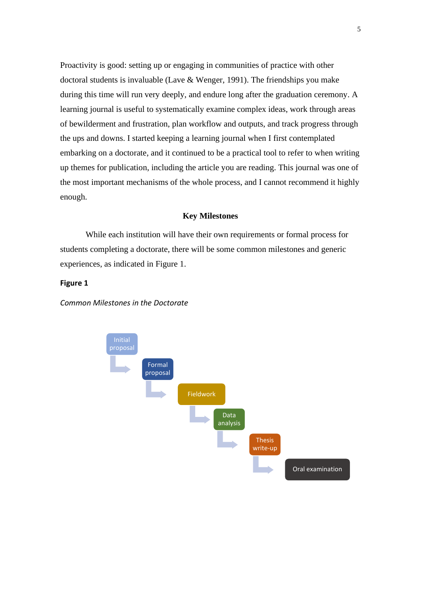Proactivity is good: setting up or engaging in communities of practice with other doctoral students is invaluable (Lave & Wenger, 1991). The friendships you make during this time will run very deeply, and endure long after the graduation ceremony. A learning journal is useful to systematically examine complex ideas, work through areas of bewilderment and frustration, plan workflow and outputs, and track progress through the ups and downs. I started keeping a learning journal when I first contemplated embarking on a doctorate, and it continued to be a practical tool to refer to when writing up themes for publication, including the article you are reading. This journal was one of the most important mechanisms of the whole process, and I cannot recommend it highly enough.

# **Key Milestones**

While each institution will have their own requirements or formal process for students completing a doctorate, there will be some common milestones and generic experiences, as indicated in Figure 1.

# **Figure 1**

*Common Milestones in the Doctorate*

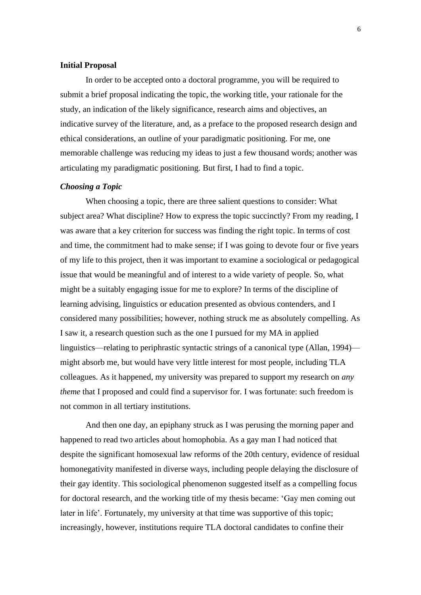## **Initial Proposal**

In order to be accepted onto a doctoral programme, you will be required to submit a brief proposal indicating the topic, the working title, your rationale for the study, an indication of the likely significance, research aims and objectives, an indicative survey of the literature, and, as a preface to the proposed research design and ethical considerations, an outline of your paradigmatic positioning. For me, one memorable challenge was reducing my ideas to just a few thousand words; another was articulating my paradigmatic positioning. But first, I had to find a topic.

## *Choosing a Topic*

When choosing a topic, there are three salient questions to consider: What subject area? What discipline? How to express the topic succinctly? From my reading, I was aware that a key criterion for success was finding the right topic. In terms of cost and time, the commitment had to make sense; if I was going to devote four or five years of my life to this project, then it was important to examine a sociological or pedagogical issue that would be meaningful and of interest to a wide variety of people. So, what might be a suitably engaging issue for me to explore? In terms of the discipline of learning advising, linguistics or education presented as obvious contenders, and I considered many possibilities; however, nothing struck me as absolutely compelling. As I saw it, a research question such as the one I pursued for my MA in applied linguistics—relating to periphrastic syntactic strings of a canonical type (Allan, 1994) might absorb me, but would have very little interest for most people, including TLA colleagues. As it happened, my university was prepared to support my research on *any theme* that I proposed and could find a supervisor for. I was fortunate: such freedom is not common in all tertiary institutions.

And then one day, an epiphany struck as I was perusing the morning paper and happened to read two articles about homophobia. As a gay man I had noticed that despite the significant homosexual law reforms of the 20th century, evidence of residual homonegativity manifested in diverse ways, including people delaying the disclosure of their gay identity. This sociological phenomenon suggested itself as a compelling focus for doctoral research, and the working title of my thesis became: 'Gay men coming out later in life'. Fortunately, my university at that time was supportive of this topic; increasingly, however, institutions require TLA doctoral candidates to confine their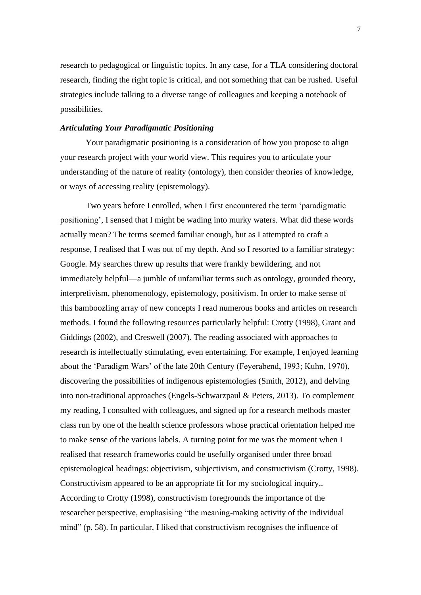research to pedagogical or linguistic topics. In any case, for a TLA considering doctoral research, finding the right topic is critical, and not something that can be rushed. Useful strategies include talking to a diverse range of colleagues and keeping a notebook of possibilities.

# *Articulating Your Paradigmatic Positioning*

Your paradigmatic positioning is a consideration of how you propose to align your research project with your world view. This requires you to articulate your understanding of the nature of reality (ontology), then consider theories of knowledge, or ways of accessing reality (epistemology).

Two years before I enrolled, when I first encountered the term 'paradigmatic positioning', I sensed that I might be wading into murky waters. What did these words actually mean? The terms seemed familiar enough, but as I attempted to craft a response, I realised that I was out of my depth. And so I resorted to a familiar strategy: Google. My searches threw up results that were frankly bewildering, and not immediately helpful—a jumble of unfamiliar terms such as ontology, grounded theory, interpretivism, phenomenology, epistemology, positivism. In order to make sense of this bamboozling array of new concepts I read numerous books and articles on research methods. I found the following resources particularly helpful: Crotty (1998), Grant and Giddings (2002), and Creswell (2007). The reading associated with approaches to research is intellectually stimulating, even entertaining. For example, I enjoyed learning about the 'Paradigm Wars' of the late 20th Century (Feyerabend, 1993; Kuhn, 1970), discovering the possibilities of indigenous epistemologies (Smith, 2012), and delving into non-traditional approaches (Engels-Schwarzpaul & Peters, 2013). To complement my reading, I consulted with colleagues, and signed up for a research methods master class run by one of the health science professors whose practical orientation helped me to make sense of the various labels. A turning point for me was the moment when I realised that research frameworks could be usefully organised under three broad epistemological headings: objectivism, subjectivism, and constructivism (Crotty, 1998). Constructivism appeared to be an appropriate fit for my sociological inquiry,. According to Crotty (1998), constructivism foregrounds the importance of the researcher perspective, emphasising "the meaning-making activity of the individual mind" (p. 58). In particular, I liked that constructivism recognises the influence of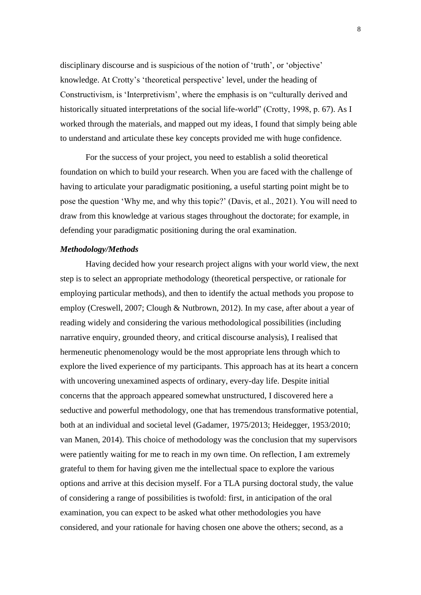disciplinary discourse and is suspicious of the notion of 'truth', or 'objective' knowledge. At Crotty's 'theoretical perspective' level, under the heading of Constructivism, is 'Interpretivism', where the emphasis is on "culturally derived and historically situated interpretations of the social life-world" (Crotty, 1998, p. 67). As I worked through the materials, and mapped out my ideas, I found that simply being able to understand and articulate these key concepts provided me with huge confidence.

For the success of your project, you need to establish a solid theoretical foundation on which to build your research. When you are faced with the challenge of having to articulate your paradigmatic positioning, a useful starting point might be to pose the question 'Why me, and why this topic?' (Davis, et al., 2021). You will need to draw from this knowledge at various stages throughout the doctorate; for example, in defending your paradigmatic positioning during the oral examination.

## *Methodology/Methods*

Having decided how your research project aligns with your world view, the next step is to select an appropriate methodology (theoretical perspective, or rationale for employing particular methods), and then to identify the actual methods you propose to employ (Creswell, 2007; Clough & Nutbrown, 2012). In my case, after about a year of reading widely and considering the various methodological possibilities (including narrative enquiry, grounded theory, and critical discourse analysis), I realised that hermeneutic phenomenology would be the most appropriate lens through which to explore the lived experience of my participants. This approach has at its heart a concern with uncovering unexamined aspects of ordinary, every-day life. Despite initial concerns that the approach appeared somewhat unstructured, I discovered here a seductive and powerful methodology, one that has tremendous transformative potential, both at an individual and societal level (Gadamer, 1975/2013; Heidegger, 1953/2010; van Manen, 2014). This choice of methodology was the conclusion that my supervisors were patiently waiting for me to reach in my own time. On reflection, I am extremely grateful to them for having given me the intellectual space to explore the various options and arrive at this decision myself. For a TLA pursing doctoral study, the value of considering a range of possibilities is twofold: first, in anticipation of the oral examination, you can expect to be asked what other methodologies you have considered, and your rationale for having chosen one above the others; second, as a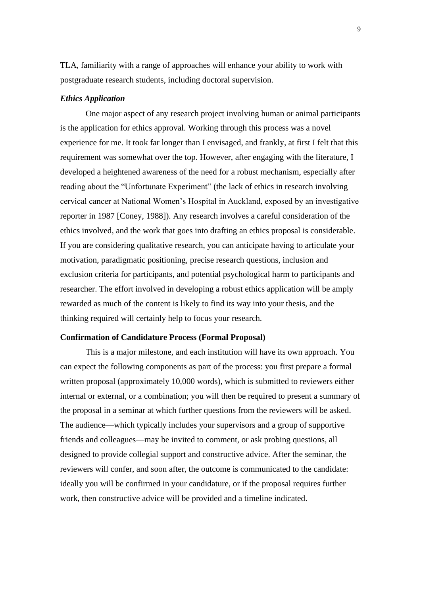TLA, familiarity with a range of approaches will enhance your ability to work with postgraduate research students, including doctoral supervision.

## *Ethics Application*

One major aspect of any research project involving human or animal participants is the application for ethics approval. Working through this process was a novel experience for me. It took far longer than I envisaged, and frankly, at first I felt that this requirement was somewhat over the top. However, after engaging with the literature, I developed a heightened awareness of the need for a robust mechanism, especially after reading about the "Unfortunate Experiment" (the lack of ethics in research involving cervical cancer at National Women's Hospital in Auckland, exposed by an investigative reporter in 1987 [Coney, 1988]). Any research involves a careful consideration of the ethics involved, and the work that goes into drafting an ethics proposal is considerable. If you are considering qualitative research, you can anticipate having to articulate your motivation, paradigmatic positioning, precise research questions, inclusion and exclusion criteria for participants, and potential psychological harm to participants and researcher. The effort involved in developing a robust ethics application will be amply rewarded as much of the content is likely to find its way into your thesis, and the thinking required will certainly help to focus your research.

#### **Confirmation of Candidature Process (Formal Proposal)**

This is a major milestone, and each institution will have its own approach. You can expect the following components as part of the process: you first prepare a formal written proposal (approximately 10,000 words), which is submitted to reviewers either internal or external, or a combination; you will then be required to present a summary of the proposal in a seminar at which further questions from the reviewers will be asked. The audience—which typically includes your supervisors and a group of supportive friends and colleagues—may be invited to comment, or ask probing questions, all designed to provide collegial support and constructive advice. After the seminar, the reviewers will confer, and soon after, the outcome is communicated to the candidate: ideally you will be confirmed in your candidature, or if the proposal requires further work, then constructive advice will be provided and a timeline indicated.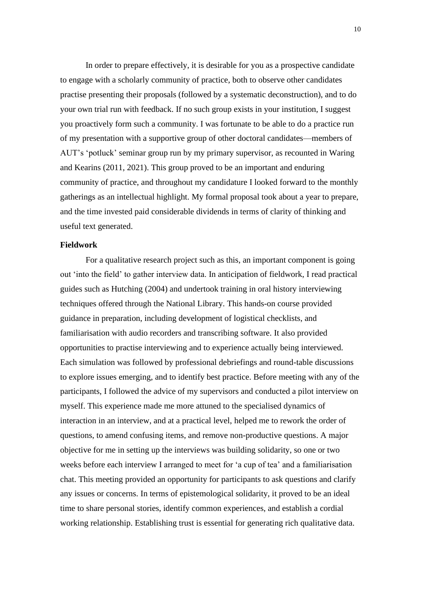In order to prepare effectively, it is desirable for you as a prospective candidate to engage with a scholarly community of practice, both to observe other candidates practise presenting their proposals (followed by a systematic deconstruction), and to do your own trial run with feedback. If no such group exists in your institution, I suggest you proactively form such a community. I was fortunate to be able to do a practice run of my presentation with a supportive group of other doctoral candidates—members of AUT's 'potluck' seminar group run by my primary supervisor, as recounted in Waring and Kearins (2011, 2021). This group proved to be an important and enduring community of practice, and throughout my candidature I looked forward to the monthly gatherings as an intellectual highlight. My formal proposal took about a year to prepare, and the time invested paid considerable dividends in terms of clarity of thinking and useful text generated.

## **Fieldwork**

For a qualitative research project such as this, an important component is going out 'into the field' to gather interview data. In anticipation of fieldwork, I read practical guides such as Hutching (2004) and undertook training in oral history interviewing techniques offered through the National Library. This hands-on course provided guidance in preparation, including development of logistical checklists, and familiarisation with audio recorders and transcribing software. It also provided opportunities to practise interviewing and to experience actually being interviewed. Each simulation was followed by professional debriefings and round-table discussions to explore issues emerging, and to identify best practice. Before meeting with any of the participants, I followed the advice of my supervisors and conducted a pilot interview on myself. This experience made me more attuned to the specialised dynamics of interaction in an interview, and at a practical level, helped me to rework the order of questions, to amend confusing items, and remove non-productive questions. A major objective for me in setting up the interviews was building solidarity, so one or two weeks before each interview I arranged to meet for 'a cup of tea' and a familiarisation chat. This meeting provided an opportunity for participants to ask questions and clarify any issues or concerns. In terms of epistemological solidarity, it proved to be an ideal time to share personal stories, identify common experiences, and establish a cordial working relationship. Establishing trust is essential for generating rich qualitative data.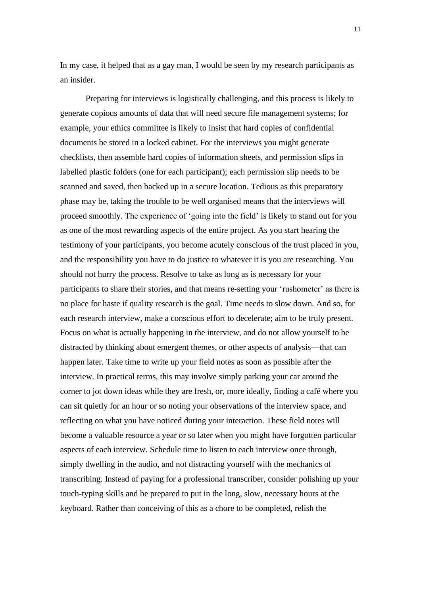In my case, it helped that as a gay man, I would be seen by my research participants as an insider.

Preparing for interviews is logistically challenging, and this process is likely to generate copious amounts of data that will need secure file management systems; for example, your ethics committee is likely to insist that hard copies of confidential documents be stored in a locked cabinet. For the interviews you might generate checklists, then assemble hard copies of information sheets, and permission slips in labelled plastic folders (one for each participant); each permission slip needs to be scanned and saved, then backed up in a secure location. Tedious as this preparatory phase may be, taking the trouble to be well organised means that the interviews will proceed smoothly. The experience of 'going into the field' is likely to stand out for you as one of the most rewarding aspects of the entire project. As you start hearing the testimony of your participants, you become acutely conscious of the trust placed in you, and the responsibility you have to do justice to whatever it is you are researching. You should not hurry the process. Resolve to take as long as is necessary for your participants to share their stories, and that means re-setting your 'rushometer' as there is no place for haste if quality research is the goal. Time needs to slow down. And so, for each research interview, make a conscious effort to decelerate; aim to be truly present. Focus on what is actually happening in the interview, and do not allow yourself to be distracted by thinking about emergent themes, or other aspects of analysis—that can happen later. Take time to write up your field notes as soon as possible after the interview. In practical terms, this may involve simply parking your car around the corner to jot down ideas while they are fresh, or, more ideally, finding a café where you can sit quietly for an hour or so noting your observations of the interview space, and reflecting on what you have noticed during your interaction. These field notes will become a valuable resource a year or so later when you might have forgotten particular aspects of each interview. Schedule time to listen to each interview once through, simply dwelling in the audio, and not distracting yourself with the mechanics of transcribing. Instead of paying for a professional transcriber, consider polishing up your touch-typing skills and be prepared to put in the long, slow, necessary hours at the keyboard. Rather than conceiving of this as a chore to be completed, relish the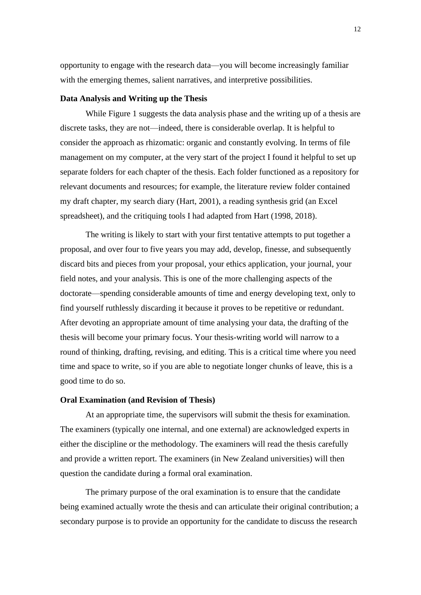opportunity to engage with the research data—you will become increasingly familiar with the emerging themes, salient narratives, and interpretive possibilities.

## **Data Analysis and Writing up the Thesis**

While Figure 1 suggests the data analysis phase and the writing up of a thesis are discrete tasks, they are not—indeed, there is considerable overlap. It is helpful to consider the approach as rhizomatic: organic and constantly evolving. In terms of file management on my computer, at the very start of the project I found it helpful to set up separate folders for each chapter of the thesis. Each folder functioned as a repository for relevant documents and resources; for example, the literature review folder contained my draft chapter, my search diary (Hart, 2001), a reading synthesis grid (an Excel spreadsheet), and the critiquing tools I had adapted from Hart (1998, 2018).

The writing is likely to start with your first tentative attempts to put together a proposal, and over four to five years you may add, develop, finesse, and subsequently discard bits and pieces from your proposal, your ethics application, your journal, your field notes, and your analysis. This is one of the more challenging aspects of the doctorate—spending considerable amounts of time and energy developing text, only to find yourself ruthlessly discarding it because it proves to be repetitive or redundant. After devoting an appropriate amount of time analysing your data, the drafting of the thesis will become your primary focus. Your thesis-writing world will narrow to a round of thinking, drafting, revising, and editing. This is a critical time where you need time and space to write, so if you are able to negotiate longer chunks of leave, this is a good time to do so.

## **Oral Examination (and Revision of Thesis)**

At an appropriate time, the supervisors will submit the thesis for examination. The examiners (typically one internal, and one external) are acknowledged experts in either the discipline or the methodology. The examiners will read the thesis carefully and provide a written report. The examiners (in New Zealand universities) will then question the candidate during a formal oral examination.

The primary purpose of the oral examination is to ensure that the candidate being examined actually wrote the thesis and can articulate their original contribution; a secondary purpose is to provide an opportunity for the candidate to discuss the research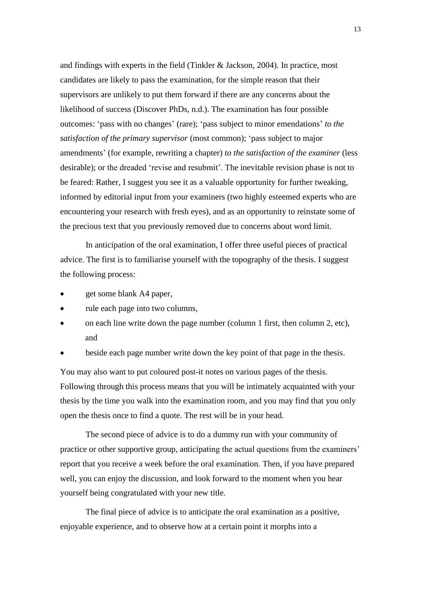and findings with experts in the field (Tinkler & Jackson, 2004). In practice, most candidates are likely to pass the examination, for the simple reason that their supervisors are unlikely to put them forward if there are any concerns about the likelihood of success (Discover PhDs, n.d.). The examination has four possible outcomes: 'pass with no changes' (rare); 'pass subject to minor emendations' *to the satisfaction of the primary supervisor* (most common); 'pass subject to major amendments' (for example, rewriting a chapter) *to the satisfaction of the examiner* (less desirable); or the dreaded 'revise and resubmit'. The inevitable revision phase is not to be feared: Rather, I suggest you see it as a valuable opportunity for further tweaking, informed by editorial input from your examiners (two highly esteemed experts who are encountering your research with fresh eyes), and as an opportunity to reinstate some of the precious text that you previously removed due to concerns about word limit.

In anticipation of the oral examination, I offer three useful pieces of practical advice. The first is to familiarise yourself with the topography of the thesis. I suggest the following process:

- get some blank A4 paper,
- rule each page into two columns,
- on each line write down the page number (column 1 first, then column 2, etc), and
- beside each page number write down the key point of that page in the thesis.

You may also want to put coloured post-it notes on various pages of the thesis. Following through this process means that you will be intimately acquainted with your thesis by the time you walk into the examination room, and you may find that you only open the thesis once to find a quote. The rest will be in your head.

The second piece of advice is to do a dummy run with your community of practice or other supportive group, anticipating the actual questions from the examiners' report that you receive a week before the oral examination. Then, if you have prepared well, you can enjoy the discussion, and look forward to the moment when you hear yourself being congratulated with your new title.

The final piece of advice is to anticipate the oral examination as a positive, enjoyable experience, and to observe how at a certain point it morphs into a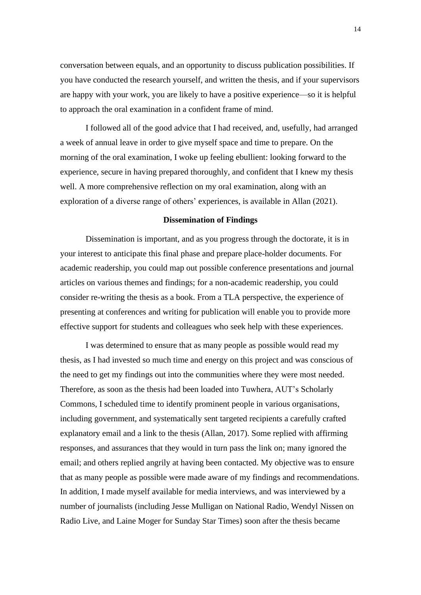conversation between equals, and an opportunity to discuss publication possibilities. If you have conducted the research yourself, and written the thesis, and if your supervisors are happy with your work, you are likely to have a positive experience—so it is helpful to approach the oral examination in a confident frame of mind.

I followed all of the good advice that I had received, and, usefully, had arranged a week of annual leave in order to give myself space and time to prepare. On the morning of the oral examination, I woke up feeling ebullient: looking forward to the experience, secure in having prepared thoroughly, and confident that I knew my thesis well. A more comprehensive reflection on my oral examination, along with an exploration of a diverse range of others' experiences, is available in Allan (2021).

#### **Dissemination of Findings**

Dissemination is important, and as you progress through the doctorate, it is in your interest to anticipate this final phase and prepare place-holder documents. For academic readership, you could map out possible conference presentations and journal articles on various themes and findings; for a non-academic readership, you could consider re-writing the thesis as a book. From a TLA perspective, the experience of presenting at conferences and writing for publication will enable you to provide more effective support for students and colleagues who seek help with these experiences.

I was determined to ensure that as many people as possible would read my thesis, as I had invested so much time and energy on this project and was conscious of the need to get my findings out into the communities where they were most needed. Therefore, as soon as the thesis had been loaded into Tuwhera, AUT's Scholarly Commons, I scheduled time to identify prominent people in various organisations, including government, and systematically sent targeted recipients a carefully crafted explanatory email and a link to the thesis (Allan, 2017). Some replied with affirming responses, and assurances that they would in turn pass the link on; many ignored the email; and others replied angrily at having been contacted. My objective was to ensure that as many people as possible were made aware of my findings and recommendations. In addition, I made myself available for media interviews, and was interviewed by a number of journalists (including Jesse Mulligan on National Radio, Wendyl Nissen on Radio Live, and Laine Moger for Sunday Star Times) soon after the thesis became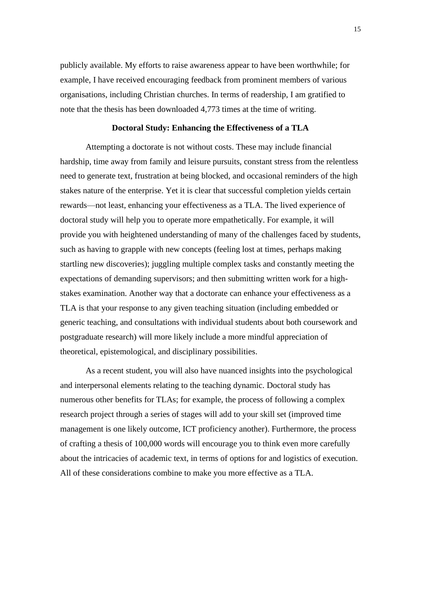publicly available. My efforts to raise awareness appear to have been worthwhile; for example, I have received encouraging feedback from prominent members of various organisations, including Christian churches. In terms of readership, I am gratified to note that the thesis has been downloaded 4,773 times at the time of writing.

## **Doctoral Study: Enhancing the Effectiveness of a TLA**

Attempting a doctorate is not without costs. These may include financial hardship, time away from family and leisure pursuits, constant stress from the relentless need to generate text, frustration at being blocked, and occasional reminders of the high stakes nature of the enterprise. Yet it is clear that successful completion yields certain rewards—not least, enhancing your effectiveness as a TLA. The lived experience of doctoral study will help you to operate more empathetically. For example, it will provide you with heightened understanding of many of the challenges faced by students, such as having to grapple with new concepts (feeling lost at times, perhaps making startling new discoveries); juggling multiple complex tasks and constantly meeting the expectations of demanding supervisors; and then submitting written work for a highstakes examination. Another way that a doctorate can enhance your effectiveness as a TLA is that your response to any given teaching situation (including embedded or generic teaching, and consultations with individual students about both coursework and postgraduate research) will more likely include a more mindful appreciation of theoretical, epistemological, and disciplinary possibilities.

As a recent student, you will also have nuanced insights into the psychological and interpersonal elements relating to the teaching dynamic. Doctoral study has numerous other benefits for TLAs; for example, the process of following a complex research project through a series of stages will add to your skill set (improved time management is one likely outcome, ICT proficiency another). Furthermore, the process of crafting a thesis of 100,000 words will encourage you to think even more carefully about the intricacies of academic text, in terms of options for and logistics of execution. All of these considerations combine to make you more effective as a TLA.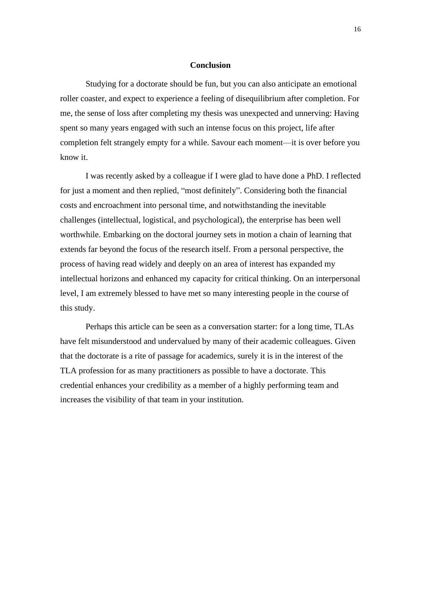#### **Conclusion**

Studying for a doctorate should be fun, but you can also anticipate an emotional roller coaster, and expect to experience a feeling of disequilibrium after completion. For me, the sense of loss after completing my thesis was unexpected and unnerving: Having spent so many years engaged with such an intense focus on this project, life after completion felt strangely empty for a while. Savour each moment—it is over before you know it.

I was recently asked by a colleague if I were glad to have done a PhD. I reflected for just a moment and then replied, "most definitely". Considering both the financial costs and encroachment into personal time, and notwithstanding the inevitable challenges (intellectual, logistical, and psychological), the enterprise has been well worthwhile. Embarking on the doctoral journey sets in motion a chain of learning that extends far beyond the focus of the research itself. From a personal perspective, the process of having read widely and deeply on an area of interest has expanded my intellectual horizons and enhanced my capacity for critical thinking. On an interpersonal level, I am extremely blessed to have met so many interesting people in the course of this study.

Perhaps this article can be seen as a conversation starter: for a long time, TLAs have felt misunderstood and undervalued by many of their academic colleagues. Given that the doctorate is a rite of passage for academics, surely it is in the interest of the TLA profession for as many practitioners as possible to have a doctorate. This credential enhances your credibility as a member of a highly performing team and increases the visibility of that team in your institution.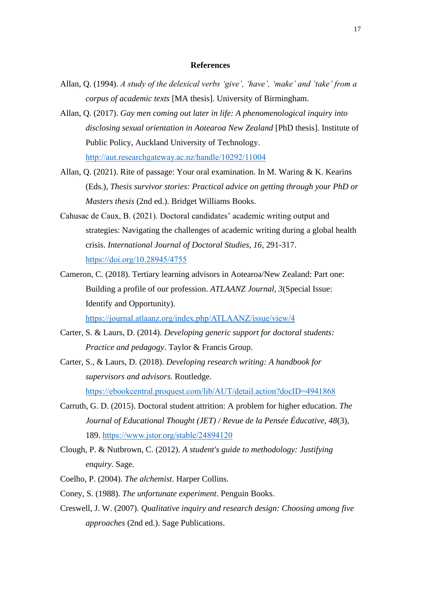## **References**

- Allan, Q. (1994). *A study of the delexical verbs 'give', 'have', 'make' and 'take' from a corpus of academic texts* [MA thesis]. University of Birmingham.
- Allan, Q. (2017). *Gay men coming out later in life: A phenomenological inquiry into disclosing sexual orientation in Aotearoa New Zealand* [PhD thesis]. Institute of Public Policy, Auckland University of Technology. <http://aut.researchgateway.ac.nz/handle/10292/11004>
- Allan, Q. (2021). Rite of passage: Your oral examination. In M. Waring & K. Kearins (Eds.), *Thesis survivor stories: Practical advice on getting through your PhD or Masters thesis* (2nd ed.). Bridget Williams Books.
- Cahusac de Caux, B. (2021). Doctoral candidates' academic writing output and strategies: Navigating the challenges of academic writing during a global health crisis. *International Journal of Doctoral Studies, 16*, 291-317. <https://doi.org/10.28945/4755>
- Cameron, C. (2018). Tertiary learning advisors in Aotearoa/New Zealand: Part one: Building a profile of our profession. *ATLAANZ Journal, 3*(Special Issue: Identify and Opportunity).

<https://journal.atlaanz.org/index.php/ATLAANZ/issue/view/4>

- Carter, S. & Laurs, D. (2014). *Developing generic support for doctoral students: Practice and pedagogy*. Taylor & Francis Group.
- Carter, S., & Laurs, D. (2018). *Developing research writing: A handbook for supervisors and advisors.* Routledge. <https://ebookcentral.proquest.com/lib/AUT/detail.action?docID=4941868>
- Carruth, G. D. (2015). Doctoral student attrition: A problem for higher education. *The Journal of Educational Thought (JET) / Revue de la Pensée Éducative, 48*(3), 189. <https://www.jstor.org/stable/24894120>
- Clough, P. & Nutbrown, C. (2012). *A student's guide to methodology: Justifying enquiry*. Sage.
- Coelho, P. (2004). *The alchemist*. Harper Collins.
- Coney, S. (1988). *The unfortunate experiment*. Penguin Books.
- Creswell, J. W. (2007). *Qualitative inquiry and research design: Choosing among five approaches* (2nd ed.). Sage Publications.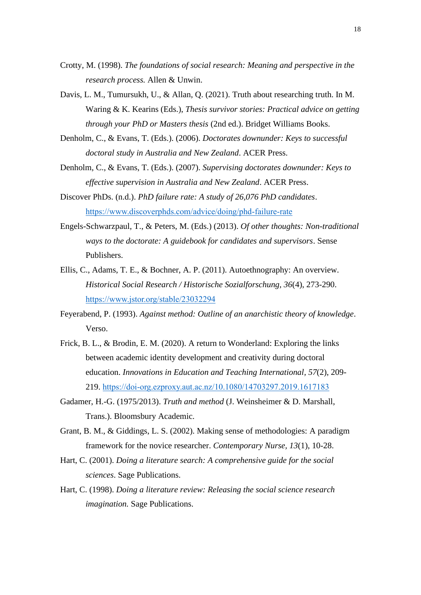- Crotty, M. (1998). *The foundations of social research: Meaning and perspective in the research process.* Allen & Unwin.
- Davis, L. M., Tumursukh, U., & Allan, Q. (2021). Truth about researching truth. In M. Waring & K. Kearins (Eds.), *Thesis survivor stories: Practical advice on getting through your PhD or Masters thesis* (2nd ed.). Bridget Williams Books.
- Denholm, C., & Evans, T. (Eds.). (2006). *Doctorates downunder: Keys to successful doctoral study in Australia and New Zealand*. ACER Press.
- Denholm, C., & Evans, T. (Eds.). (2007). *Supervising doctorates downunder: Keys to effective supervision in Australia and New Zealand*. ACER Press.
- Discover PhDs. (n.d.). *PhD failure rate: A study of 26,076 PhD candidates*. <https://www.discoverphds.com/advice/doing/phd-failure-rate>
- Engels-Schwarzpaul, T., & Peters, M. (Eds.) (2013). *Of other thoughts: Non-traditional ways to the doctorate: A guidebook for candidates and supervisors*. Sense Publishers.
- Ellis, C., Adams, T. E., & Bochner, A. P. (2011). Autoethnography: An overview. *Historical Social Research / Historische Sozialforschung, 36*(4), 273-290. <https://www.jstor.org/stable/23032294>
- Feyerabend, P. (1993). *Against method: Outline of an anarchistic theory of knowledge*. Verso.
- Frick, B. L., & Brodin, E. M. (2020). A return to Wonderland: Exploring the links between academic identity development and creativity during doctoral education. *Innovations in Education and Teaching International, 57*(2), 209- 219.<https://doi-org.ezproxy.aut.ac.nz/10.1080/14703297.2019.1617183>
- Gadamer, H.-G. (1975/2013). *Truth and method* (J. Weinsheimer & D. Marshall, Trans.). Bloomsbury Academic.
- Grant, B. M., & Giddings, L. S. (2002). Making sense of methodologies: A paradigm framework for the novice researcher. *Contemporary Nurse, 13*(1), 10-28.
- Hart, C. (2001). *Doing a literature search: A comprehensive guide for the social sciences*. Sage Publications.
- Hart, C. (1998). *Doing a literature review: Releasing the social science research imagination.* Sage Publications.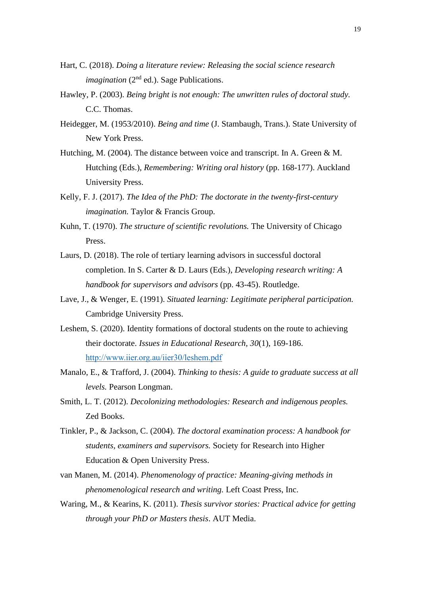- Hart, C. (2018). *Doing a literature review: Releasing the social science research imagination* (2<sup>nd</sup> ed.). Sage Publications.
- Hawley, P. (2003). *Being bright is not enough: The unwritten rules of doctoral study.* C.C. Thomas.
- Heidegger, M. (1953/2010). *Being and time* (J. Stambaugh, Trans.). State University of New York Press.
- Hutching, M. (2004). The distance between voice and transcript. In A. Green & M. Hutching (Eds.), *Remembering: Writing oral history* (pp. 168-177). Auckland University Press.
- Kelly, F. J. (2017). *The Idea of the PhD: The doctorate in the twenty-first-century imagination.* Taylor & Francis Group.
- Kuhn, T. (1970). *The structure of scientific revolutions.* The University of Chicago Press.
- Laurs, D. (2018). The role of tertiary learning advisors in successful doctoral completion. In S. Carter & D. Laurs (Eds.), *Developing research writing: A handbook for supervisors and advisors* (pp. 43-45). Routledge.
- Lave, J., & Wenger, E. (1991). *Situated learning: Legitimate peripheral participation.* Cambridge University Press.
- Leshem, S. (2020). Identity formations of doctoral students on the route to achieving their doctorate. *Issues in Educational Research, 30*(1), 169-186. <http://www.iier.org.au/iier30/leshem.pdf>
- Manalo, E., & Trafford, J. (2004). *Thinking to thesis: A guide to graduate success at all levels.* Pearson Longman.
- Smith, L. T. (2012). *Decolonizing methodologies: Research and indigenous peoples.* Zed Books.
- Tinkler, P., & Jackson, C. (2004). *The doctoral examination process: A handbook for students, examiners and supervisors.* Society for Research into Higher Education & Open University Press.
- van Manen, M. (2014). *Phenomenology of practice: Meaning-giving methods in phenomenological research and writing.* Left Coast Press, Inc.
- Waring, M., & Kearins, K. (2011). *Thesis survivor stories: Practical advice for getting through your PhD or Masters thesis*. AUT Media.